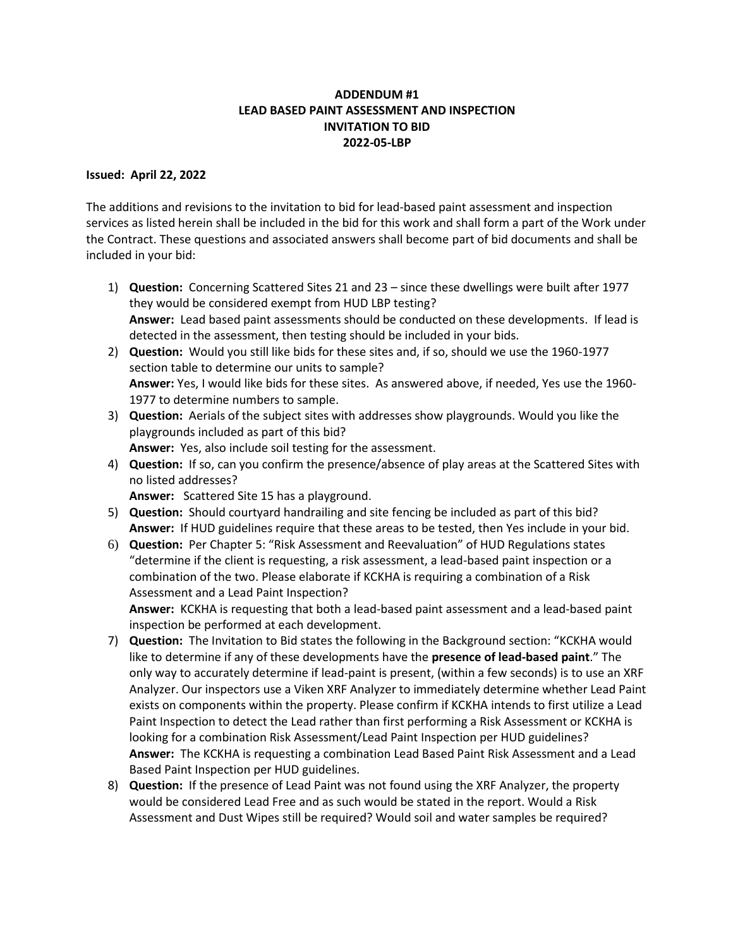## **ADDENDUM #1 LEAD BASED PAINT ASSESSMENT AND INSPECTION INVITATION TO BID 2022-05-LBP**

## **Issued: April 22, 2022**

The additions and revisions to the invitation to bid for lead-based paint assessment and inspection services as listed herein shall be included in the bid for this work and shall form a part of the Work under the Contract. These questions and associated answers shall become part of bid documents and shall be included in your bid:

- 1) **Question:** Concerning Scattered Sites 21 and 23 since these dwellings were built after 1977 they would be considered exempt from HUD LBP testing? **Answer:** Lead based paint assessments should be conducted on these developments. If lead is detected in the assessment, then testing should be included in your bids.
- 2) **Question:** Would you still like bids for these sites and, if so, should we use the 1960-1977 section table to determine our units to sample? **Answer:** Yes, I would like bids for these sites. As answered above, if needed, Yes use the 1960- 1977 to determine numbers to sample.
- 3) **Question:** Aerials of the subject sites with addresses show playgrounds. Would you like the playgrounds included as part of this bid?

**Answer:** Yes, also include soil testing for the assessment.

4) **Question:** If so, can you confirm the presence/absence of play areas at the Scattered Sites with no listed addresses?

**Answer:** Scattered Site 15 has a playground.

- 5) **Question:** Should courtyard handrailing and site fencing be included as part of this bid? **Answer:** If HUD guidelines require that these areas to be tested, then Yes include in your bid.
- 6) **Question:** Per Chapter 5: "Risk Assessment and Reevaluation" of HUD Regulations states "determine if the client is requesting, a risk assessment, a lead-based paint inspection or a combination of the two. Please elaborate if KCKHA is requiring a combination of a Risk Assessment and a Lead Paint Inspection?

**Answer:** KCKHA is requesting that both a lead-based paint assessment and a lead-based paint inspection be performed at each development.

- 7) **Question:** The Invitation to Bid states the following in the Background section: "KCKHA would like to determine if any of these developments have the **presence of lead-based paint**." The only way to accurately determine if lead-paint is present, (within a few seconds) is to use an XRF Analyzer. Our inspectors use a Viken XRF Analyzer to immediately determine whether Lead Paint exists on components within the property. Please confirm if KCKHA intends to first utilize a Lead Paint Inspection to detect the Lead rather than first performing a Risk Assessment or KCKHA is looking for a combination Risk Assessment/Lead Paint Inspection per HUD guidelines? **Answer:** The KCKHA is requesting a combination Lead Based Paint Risk Assessment and a Lead Based Paint Inspection per HUD guidelines.
- 8) **Question:** If the presence of Lead Paint was not found using the XRF Analyzer, the property would be considered Lead Free and as such would be stated in the report. Would a Risk Assessment and Dust Wipes still be required? Would soil and water samples be required?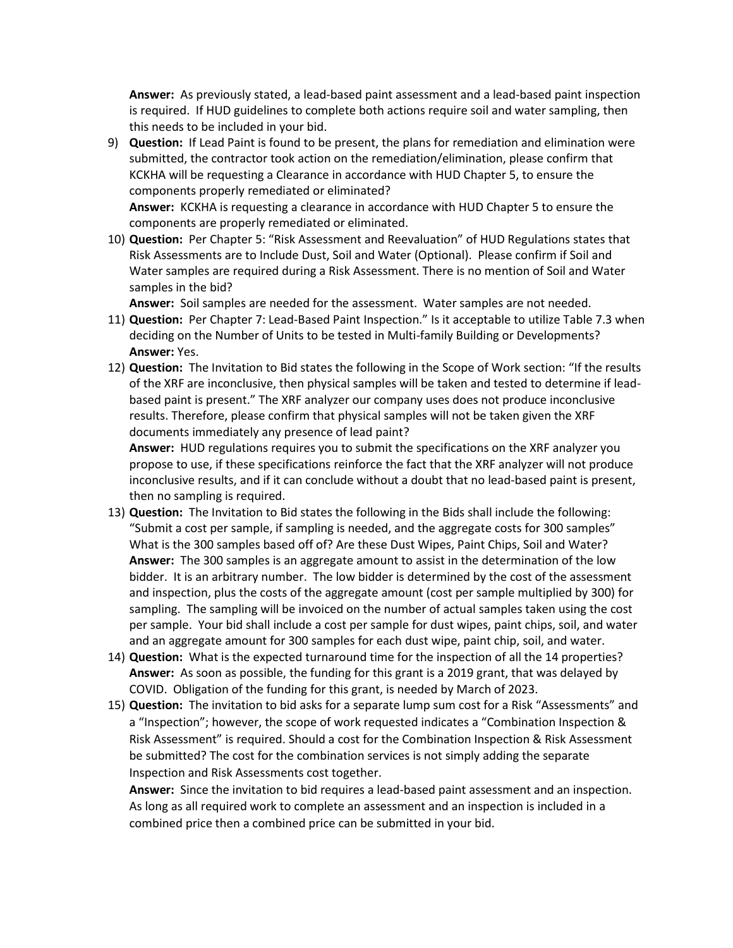**Answer:** As previously stated, a lead-based paint assessment and a lead-based paint inspection is required. If HUD guidelines to complete both actions require soil and water sampling, then this needs to be included in your bid.

9) **Question:** If Lead Paint is found to be present, the plans for remediation and elimination were submitted, the contractor took action on the remediation/elimination, please confirm that KCKHA will be requesting a Clearance in accordance with HUD Chapter 5, to ensure the components properly remediated or eliminated?

**Answer:** KCKHA is requesting a clearance in accordance with HUD Chapter 5 to ensure the components are properly remediated or eliminated.

10) **Question:** Per Chapter 5: "Risk Assessment and Reevaluation" of HUD Regulations states that Risk Assessments are to Include Dust, Soil and Water (Optional). Please confirm if Soil and Water samples are required during a Risk Assessment. There is no mention of Soil and Water samples in the bid?

**Answer:** Soil samples are needed for the assessment. Water samples are not needed.

- 11) **Question:** Per Chapter 7: Lead-Based Paint Inspection." Is it acceptable to utilize Table 7.3 when deciding on the Number of Units to be tested in Multi-family Building or Developments? **Answer:** Yes.
- 12) **Question:** The Invitation to Bid states the following in the Scope of Work section: "If the results of the XRF are inconclusive, then physical samples will be taken and tested to determine if leadbased paint is present." The XRF analyzer our company uses does not produce inconclusive results. Therefore, please confirm that physical samples will not be taken given the XRF documents immediately any presence of lead paint?

**Answer:** HUD regulations requires you to submit the specifications on the XRF analyzer you propose to use, if these specifications reinforce the fact that the XRF analyzer will not produce inconclusive results, and if it can conclude without a doubt that no lead-based paint is present, then no sampling is required.

- 13) **Question:** The Invitation to Bid states the following in the Bids shall include the following: "Submit a cost per sample, if sampling is needed, and the aggregate costs for 300 samples" What is the 300 samples based off of? Are these Dust Wipes, Paint Chips, Soil and Water? **Answer:** The 300 samples is an aggregate amount to assist in the determination of the low bidder. It is an arbitrary number. The low bidder is determined by the cost of the assessment and inspection, plus the costs of the aggregate amount (cost per sample multiplied by 300) for sampling. The sampling will be invoiced on the number of actual samples taken using the cost per sample. Your bid shall include a cost per sample for dust wipes, paint chips, soil, and water and an aggregate amount for 300 samples for each dust wipe, paint chip, soil, and water.
- 14) **Question:** What is the expected turnaround time for the inspection of all the 14 properties? **Answer:** As soon as possible, the funding for this grant is a 2019 grant, that was delayed by COVID. Obligation of the funding for this grant, is needed by March of 2023.
- 15) **Question:** The invitation to bid asks for a separate lump sum cost for a Risk "Assessments" and a "Inspection"; however, the scope of work requested indicates a "Combination Inspection & Risk Assessment" is required. Should a cost for the Combination Inspection & Risk Assessment be submitted? The cost for the combination services is not simply adding the separate Inspection and Risk Assessments cost together.

**Answer:** Since the invitation to bid requires a lead-based paint assessment and an inspection. As long as all required work to complete an assessment and an inspection is included in a combined price then a combined price can be submitted in your bid.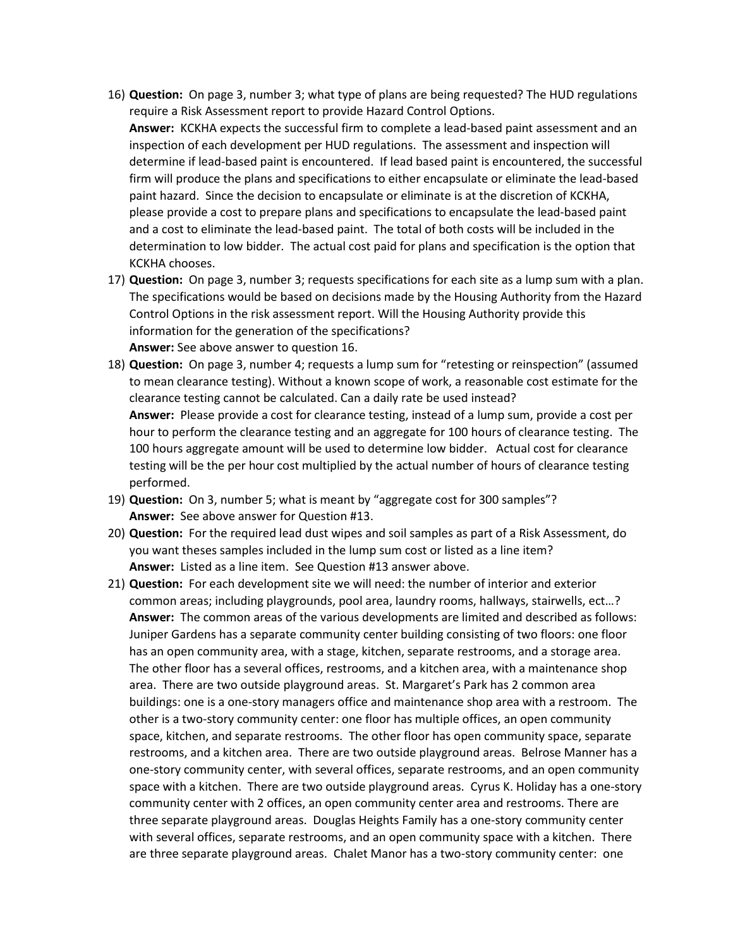- 16) **Question:** On page 3, number 3; what type of plans are being requested? The HUD regulations require a Risk Assessment report to provide Hazard Control Options. **Answer:** KCKHA expects the successful firm to complete a lead-based paint assessment and an inspection of each development per HUD regulations. The assessment and inspection will determine if lead-based paint is encountered. If lead based paint is encountered, the successful firm will produce the plans and specifications to either encapsulate or eliminate the lead-based paint hazard. Since the decision to encapsulate or eliminate is at the discretion of KCKHA, please provide a cost to prepare plans and specifications to encapsulate the lead-based paint and a cost to eliminate the lead-based paint. The total of both costs will be included in the determination to low bidder. The actual cost paid for plans and specification is the option that KCKHA chooses.
- 17) **Question:** On page 3, number 3; requests specifications for each site as a lump sum with a plan. The specifications would be based on decisions made by the Housing Authority from the Hazard Control Options in the risk assessment report. Will the Housing Authority provide this information for the generation of the specifications? **Answer:** See above answer to question 16.
- 18) **Question:** On page 3, number 4; requests a lump sum for "retesting or reinspection" (assumed to mean clearance testing). Without a known scope of work, a reasonable cost estimate for the clearance testing cannot be calculated. Can a daily rate be used instead? **Answer:** Please provide a cost for clearance testing, instead of a lump sum, provide a cost per hour to perform the clearance testing and an aggregate for 100 hours of clearance testing. The 100 hours aggregate amount will be used to determine low bidder. Actual cost for clearance testing will be the per hour cost multiplied by the actual number of hours of clearance testing performed.
- 19) **Question:** On 3, number 5; what is meant by "aggregate cost for 300 samples"? **Answer:** See above answer for Question #13.
- 20) **Question:** For the required lead dust wipes and soil samples as part of a Risk Assessment, do you want theses samples included in the lump sum cost or listed as a line item? **Answer:** Listed as a line item. See Question #13 answer above.
- 21) **Question:** For each development site we will need: the number of interior and exterior common areas; including playgrounds, pool area, laundry rooms, hallways, stairwells, ect…? **Answer:** The common areas of the various developments are limited and described as follows: Juniper Gardens has a separate community center building consisting of two floors: one floor has an open community area, with a stage, kitchen, separate restrooms, and a storage area. The other floor has a several offices, restrooms, and a kitchen area, with a maintenance shop area. There are two outside playground areas. St. Margaret's Park has 2 common area buildings: one is a one-story managers office and maintenance shop area with a restroom. The other is a two-story community center: one floor has multiple offices, an open community space, kitchen, and separate restrooms. The other floor has open community space, separate restrooms, and a kitchen area. There are two outside playground areas. Belrose Manner has a one-story community center, with several offices, separate restrooms, and an open community space with a kitchen. There are two outside playground areas. Cyrus K. Holiday has a one-story community center with 2 offices, an open community center area and restrooms. There are three separate playground areas. Douglas Heights Family has a one-story community center with several offices, separate restrooms, and an open community space with a kitchen. There are three separate playground areas. Chalet Manor has a two-story community center: one